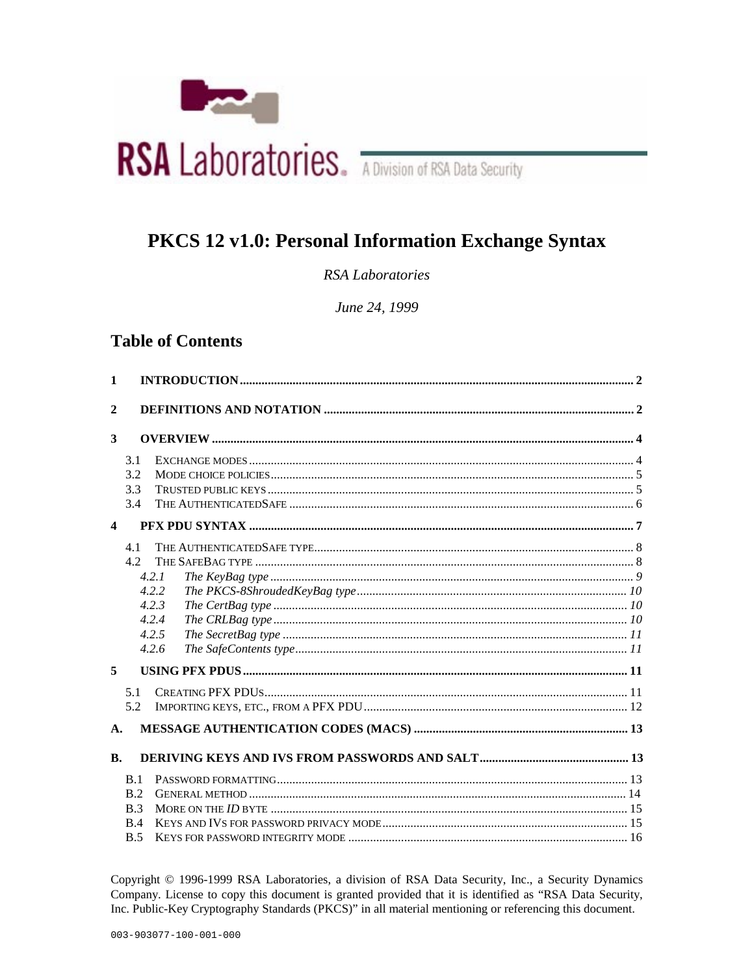

# PKCS 12 v1.0: Personal Information Exchange Syntax

**RSA** Laboratories

June 24, 1999

# **Table of Contents**

| 1                       |                          |                                                    |  |
|-------------------------|--------------------------|----------------------------------------------------|--|
| $\overline{2}$          |                          |                                                    |  |
| 3                       |                          |                                                    |  |
|                         | 3.1<br>3.2<br>3.3<br>3.4 |                                                    |  |
| $\overline{\mathbf{4}}$ |                          |                                                    |  |
| 5                       | 4.1<br>4.2.              | 4.2.1<br>4.2.2<br>4.2.3<br>4.2.4<br>4.2.5<br>4.2.6 |  |
|                         | 5.1<br>5.2               |                                                    |  |
| $\mathbf{A}$ .          |                          |                                                    |  |
| <b>B.</b>               |                          |                                                    |  |
|                         | B.1<br>B.2<br>B.3<br>B.4 |                                                    |  |
|                         | B.5                      |                                                    |  |

Copyright © 1996-1999 RSA Laboratories, a division of RSA Data Security, Inc., a Security Dynamics Company. License to copy this document is granted provided that it is identified as "RSA Data Security, Inc. Public-Key Cryptography Standards (PKCS)" in all material mentioning or referencing this document.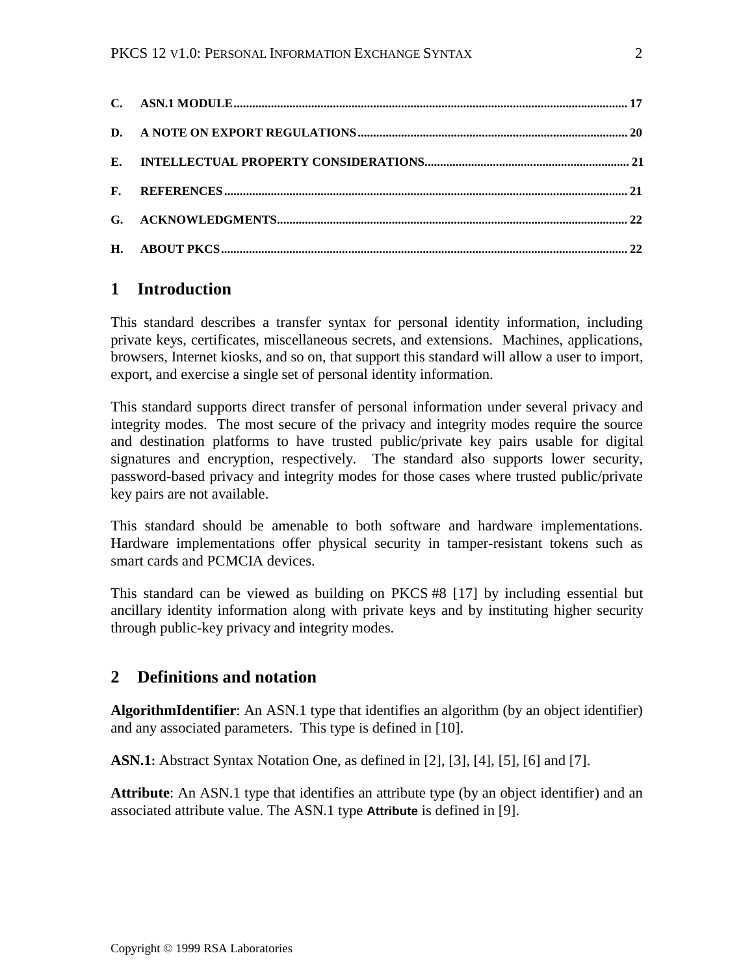# **1 Introduction**

This standard describes a transfer syntax for personal identity information, including private keys, certificates, miscellaneous secrets, and extensions. Machines, applications, browsers, Internet kiosks, and so on, that support this standard will allow a user to import, export, and exercise a single set of personal identity information.

This standard supports direct transfer of personal information under several privacy and integrity modes. The most secure of the privacy and integrity modes require the source and destination platforms to have trusted public/private key pairs usable for digital signatures and encryption, respectively. The standard also supports lower security, password-based privacy and integrity modes for those cases where trusted public/private key pairs are not available.

This standard should be amenable to both software and hardware implementations. Hardware implementations offer physical security in tamper-resistant tokens such as smart cards and PCMCIA devices.

This standard can be viewed as building on PKCS #8 [17] by including essential but ancillary identity information along with private keys and by instituting higher security through public-key privacy and integrity modes.

# **2 Definitions and notation**

**AlgorithmIdentifier**: An ASN.1 type that identifies an algorithm (by an object identifier) and any associated parameters. This type is defined in [10].

**ASN.1:** Abstract Syntax Notation One, as defined in [2], [3], [4], [5], [6] and [7].

**Attribute**: An ASN.1 type that identifies an attribute type (by an object identifier) and an associated attribute value. The ASN.1 type **Attribute** is defined in [9].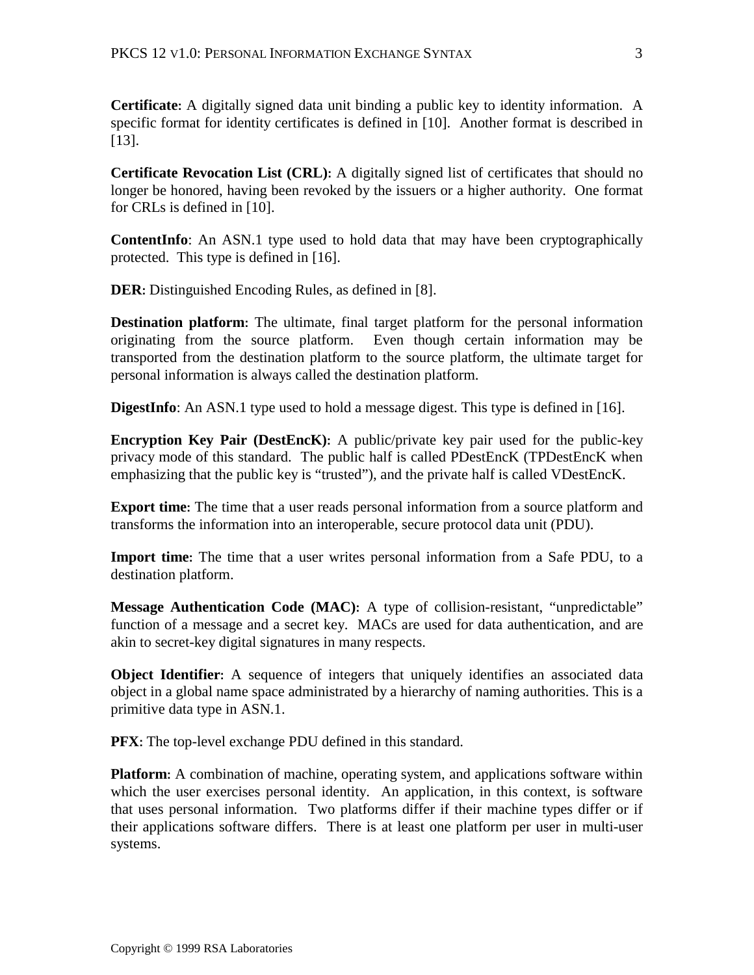**Certificate:** A digitally signed data unit binding a public key to identity information. A specific format for identity certificates is defined in [10]. Another format is described in [13].

**Certificate Revocation List (CRL):** A digitally signed list of certificates that should no longer be honored, having been revoked by the issuers or a higher authority. One format for CRLs is defined in [10].

**ContentInfo**: An ASN.1 type used to hold data that may have been cryptographically protected. This type is defined in [16].

**DER**: Distinguished Encoding Rules, as defined in [8].

**Destination platform:** The ultimate, final target platform for the personal information originating from the source platform. Even though certain information may be transported from the destination platform to the source platform, the ultimate target for personal information is always called the destination platform.

**DigestInfo**: An ASN.1 type used to hold a message digest. This type is defined in [16].

**Encryption Key Pair (DestEncK):** A public/private key pair used for the public-key privacy mode of this standard. The public half is called PDestEncK (TPDestEncK when emphasizing that the public key is "trusted"), and the private half is called VDestEncK.

**Export time:** The time that a user reads personal information from a source platform and transforms the information into an interoperable, secure protocol data unit (PDU).

**Import time:** The time that a user writes personal information from a Safe PDU, to a destination platform.

**Message Authentication Code (MAC):** A type of collision-resistant, "unpredictable" function of a message and a secret key. MACs are used for data authentication, and are akin to secret-key digital signatures in many respects.

**Object Identifier:** A sequence of integers that uniquely identifies an associated data object in a global name space administrated by a hierarchy of naming authorities. This is a primitive data type in ASN.1.

**PFX**: The top-level exchange PDU defined in this standard.

**Platform:** A combination of machine, operating system, and applications software within which the user exercises personal identity. An application, in this context, is software that uses personal information. Two platforms differ if their machine types differ or if their applications software differs. There is at least one platform per user in multi-user systems.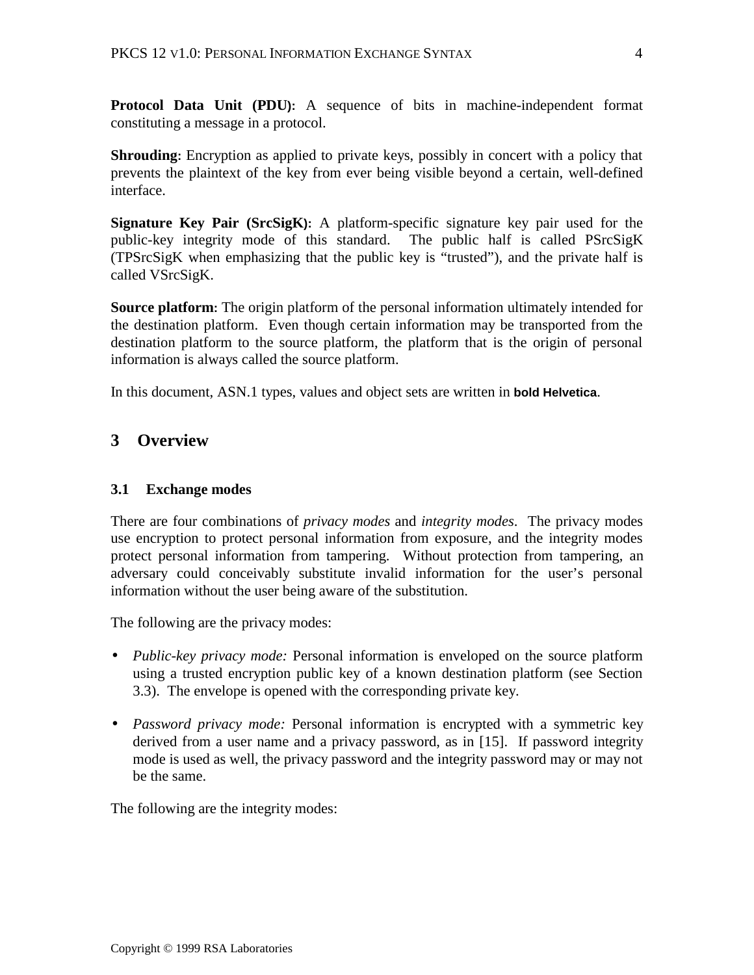**Protocol Data Unit (PDU):** A sequence of bits in machine-independent format constituting a message in a protocol.

**Shrouding:** Encryption as applied to private keys, possibly in concert with a policy that prevents the plaintext of the key from ever being visible beyond a certain, well-defined interface.

**Signature Key Pair (SrcSigK):** A platform-specific signature key pair used for the public-key integrity mode of this standard. The public half is called PSrcSigK (TPSrcSigK when emphasizing that the public key is "trusted"), and the private half is called VSrcSigK.

**Source platform:** The origin platform of the personal information ultimately intended for the destination platform. Even though certain information may be transported from the destination platform to the source platform, the platform that is the origin of personal information is always called the source platform.

In this document, ASN.1 types, values and object sets are written in **bold Helvetica**.

# **3 Overview**

### **3.1 Exchange modes**

There are four combinations of *privacy modes* and *integrity modes*. The privacy modes use encryption to protect personal information from exposure, and the integrity modes protect personal information from tampering. Without protection from tampering, an adversary could conceivably substitute invalid information for the user's personal information without the user being aware of the substitution.

The following are the privacy modes:

- *Public-key privacy mode:* Personal information is enveloped on the source platform using a trusted encryption public key of a known destination platform (see Section 3.3). The envelope is opened with the corresponding private key.
- *Password privacy mode:* Personal information is encrypted with a symmetric key derived from a user name and a privacy password, as in [15]. If password integrity mode is used as well, the privacy password and the integrity password may or may not be the same.

The following are the integrity modes: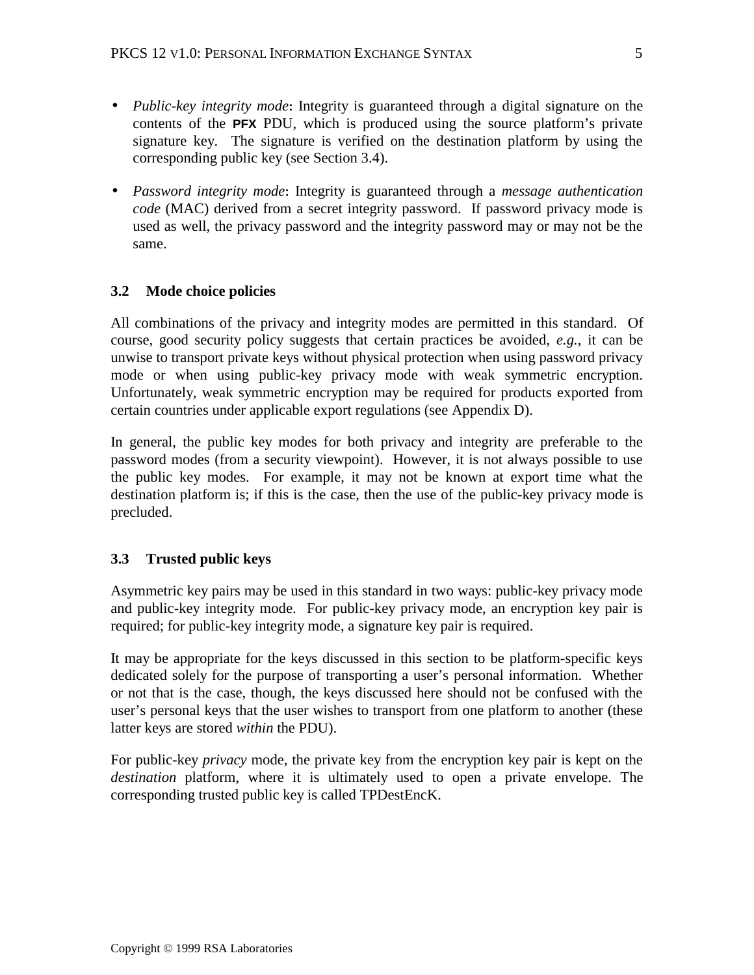- *Public-key integrity mode***:** Integrity is guaranteed through a digital signature on the contents of the **PFX** PDU, which is produced using the source platform's private signature key. The signature is verified on the destination platform by using the corresponding public key (see Section 3.4).
- *Password integrity mode***:** Integrity is guaranteed through a *message authentication code* (MAC) derived from a secret integrity password. If password privacy mode is used as well, the privacy password and the integrity password may or may not be the same.

# **3.2 Mode choice policies**

All combinations of the privacy and integrity modes are permitted in this standard. Of course, good security policy suggests that certain practices be avoided, *e.g.*, it can be unwise to transport private keys without physical protection when using password privacy mode or when using public-key privacy mode with weak symmetric encryption. Unfortunately, weak symmetric encryption may be required for products exported from certain countries under applicable export regulations (see Appendix D).

In general, the public key modes for both privacy and integrity are preferable to the password modes (from a security viewpoint). However, it is not always possible to use the public key modes. For example, it may not be known at export time what the destination platform is; if this is the case, then the use of the public-key privacy mode is precluded.

# **3.3 Trusted public keys**

Asymmetric key pairs may be used in this standard in two ways: public-key privacy mode and public-key integrity mode. For public-key privacy mode, an encryption key pair is required; for public-key integrity mode, a signature key pair is required.

It may be appropriate for the keys discussed in this section to be platform-specific keys dedicated solely for the purpose of transporting a user's personal information. Whether or not that is the case, though, the keys discussed here should not be confused with the user's personal keys that the user wishes to transport from one platform to another (these latter keys are stored *within* the PDU).

For public-key *privacy* mode, the private key from the encryption key pair is kept on the *destination* platform, where it is ultimately used to open a private envelope. The corresponding trusted public key is called TPDestEncK.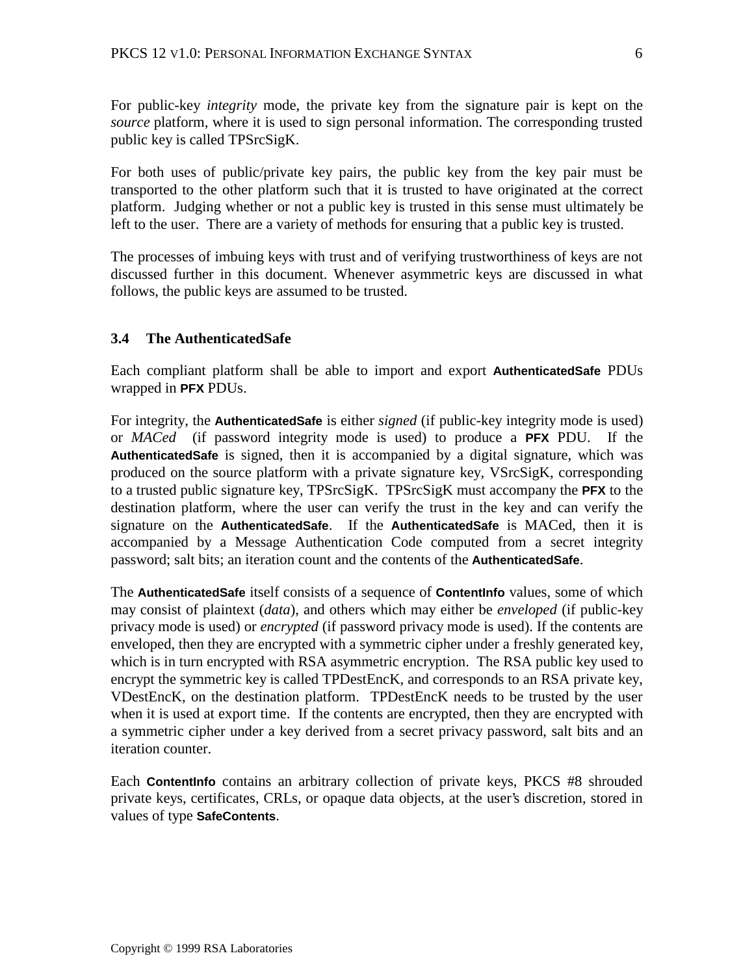For public-key *integrity* mode, the private key from the signature pair is kept on the *source* platform, where it is used to sign personal information. The corresponding trusted public key is called TPSrcSigK.

For both uses of public/private key pairs, the public key from the key pair must be transported to the other platform such that it is trusted to have originated at the correct platform. Judging whether or not a public key is trusted in this sense must ultimately be left to the user. There are a variety of methods for ensuring that a public key is trusted.

The processes of imbuing keys with trust and of verifying trustworthiness of keys are not discussed further in this document. Whenever asymmetric keys are discussed in what follows, the public keys are assumed to be trusted.

### **3.4 The AuthenticatedSafe**

Each compliant platform shall be able to import and export **AuthenticatedSafe** PDUs wrapped in **PFX** PDUs.

For integrity, the **AuthenticatedSafe** is either *signed* (if public-key integrity mode is used) or *MACed* (if password integrity mode is used) to produce a **PFX** PDU. If the **AuthenticatedSafe** is signed, then it is accompanied by a digital signature, which was produced on the source platform with a private signature key, VSrcSigK, corresponding to a trusted public signature key, TPSrcSigK. TPSrcSigK must accompany the **PFX** to the destination platform, where the user can verify the trust in the key and can verify the signature on the **AuthenticatedSafe**. If the **AuthenticatedSafe** is MACed, then it is accompanied by a Message Authentication Code computed from a secret integrity password; salt bits; an iteration count and the contents of the **AuthenticatedSafe**.

The **AuthenticatedSafe** itself consists of a sequence of **ContentInfo** values, some of which may consist of plaintext (*data*), and others which may either be *enveloped* (if public-key privacy mode is used) or *encrypted* (if password privacy mode is used). If the contents are enveloped, then they are encrypted with a symmetric cipher under a freshly generated key, which is in turn encrypted with RSA asymmetric encryption. The RSA public key used to encrypt the symmetric key is called TPDestEncK, and corresponds to an RSA private key, VDestEncK, on the destination platform. TPDestEncK needs to be trusted by the user when it is used at export time. If the contents are encrypted, then they are encrypted with a symmetric cipher under a key derived from a secret privacy password, salt bits and an iteration counter.

Each **ContentInfo** contains an arbitrary collection of private keys, PKCS #8 shrouded private keys, certificates, CRLs, or opaque data objects, at the user's discretion, stored in values of type **SafeContents**.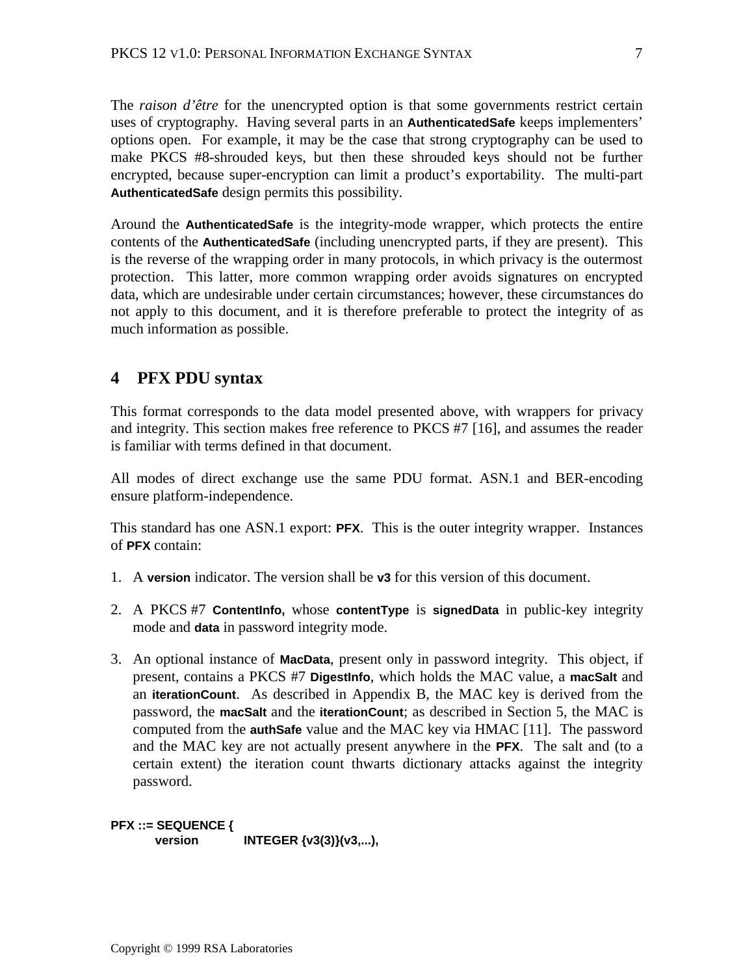The *raison d'être* for the unencrypted option is that some governments restrict certain uses of cryptography. Having several parts in an **AuthenticatedSafe** keeps implementers' options open. For example, it may be the case that strong cryptography can be used to make PKCS #8-shrouded keys, but then these shrouded keys should not be further encrypted, because super-encryption can limit a product's exportability. The multi-part **AuthenticatedSafe** design permits this possibility.

Around the **AuthenticatedSafe** is the integrity-mode wrapper, which protects the entire contents of the **AuthenticatedSafe** (including unencrypted parts, if they are present). This is the reverse of the wrapping order in many protocols, in which privacy is the outermost protection. This latter, more common wrapping order avoids signatures on encrypted data, which are undesirable under certain circumstances; however, these circumstances do not apply to this document, and it is therefore preferable to protect the integrity of as much information as possible.

# **4 PFX PDU syntax**

This format corresponds to the data model presented above, with wrappers for privacy and integrity. This section makes free reference to PKCS #7 [16], and assumes the reader is familiar with terms defined in that document.

All modes of direct exchange use the same PDU format. ASN.1 and BER-encoding ensure platform-independence.

This standard has one ASN.1 export: **PFX**. This is the outer integrity wrapper. Instances of **PFX** contain:

- 1. A **version** indicator. The version shall be **v3** for this version of this document.
- 2. A PKCS #7 **ContentInfo,** whose **contentType** is **signedData** in public-key integrity mode and **data** in password integrity mode.
- 3. An optional instance of **MacData**, present only in password integrity. This object, if present, contains a PKCS #7 **DigestInfo**, which holds the MAC value, a **macSalt** and an **iterationCount**. As described in Appendix B, the MAC key is derived from the password, the **macSalt** and the **iterationCount**; as described in Section 5, the MAC is computed from the **authSafe** value and the MAC key via HMAC [11]. The password and the MAC key are not actually present anywhere in the **PFX**. The salt and (to a certain extent) the iteration count thwarts dictionary attacks against the integrity password.

**PFX ::= SEQUENCE { version INTEGER** {v3(3)}(v3,...),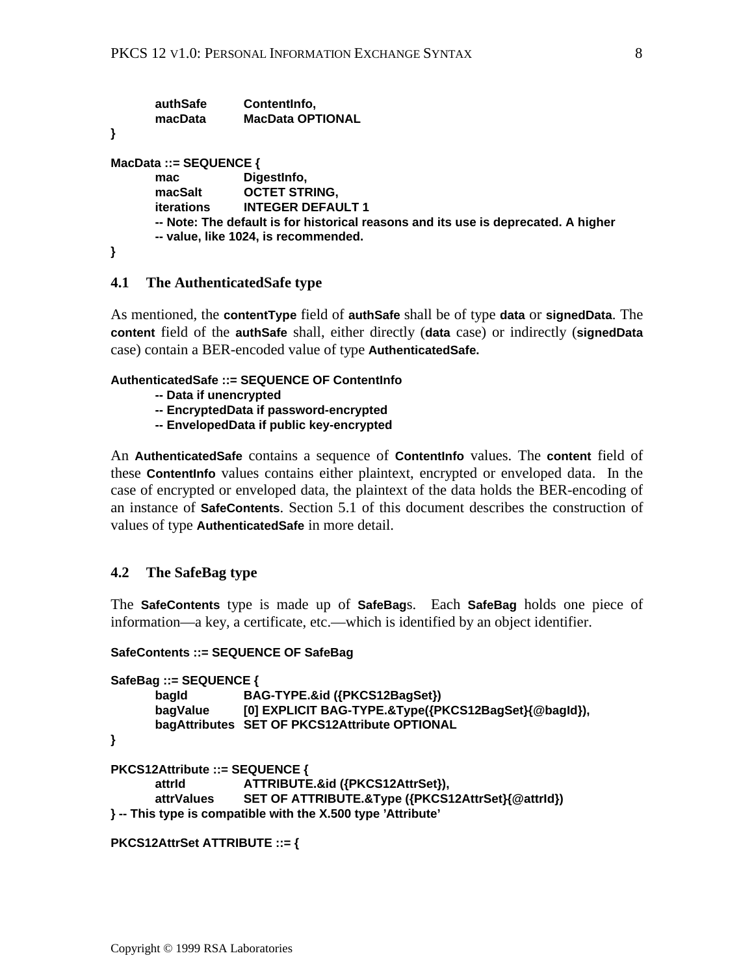| authSafe<br>macData                                                                                                        | Contentinfo,<br><b>MacData OPTIONAL</b> |  |  |  |
|----------------------------------------------------------------------------------------------------------------------------|-----------------------------------------|--|--|--|
|                                                                                                                            |                                         |  |  |  |
| MacData ::= $SEQUENCE$ {                                                                                                   |                                         |  |  |  |
| mac                                                                                                                        | DigestInfo,                             |  |  |  |
| macSalt                                                                                                                    | <b>OCTET STRING,</b>                    |  |  |  |
| <b>iterations</b>                                                                                                          | <b>INTEGER DEFAULT 1</b>                |  |  |  |
| -- Note: The default is for historical reasons and its use is deprecated. A higher<br>-- value, like 1024, is recommended. |                                         |  |  |  |
|                                                                                                                            |                                         |  |  |  |

#### **4.1 The AuthenticatedSafe type**

As mentioned, the **contentType** field of **authSafe** shall be of type **data** or **signedData**. The **content** field of the **authSafe** shall, either directly (**data** case) or indirectly (**signedData** case) contain a BER-encoded value of type **AuthenticatedSafe.**

#### **AuthenticatedSafe ::= SEQUENCE OF ContentInfo**

- **-- Data if unencrypted**
- **-- EncryptedData if password-encrypted**
- **-- EnvelopedData if public key-encrypted**

An **AuthenticatedSafe** contains a sequence of **ContentInfo** values. The **content** field of these **ContentInfo** values contains either plaintext, encrypted or enveloped data. In the case of encrypted or enveloped data, the plaintext of the data holds the BER-encoding of an instance of **SafeContents**. Section 5.1 of this document describes the construction of values of type **AuthenticatedSafe** in more detail.

#### **4.2 The SafeBag type**

The **SafeContents** type is made up of **SafeBag**s. Each **SafeBag** holds one piece of information—a key, a certificate, etc.—which is identified by an object identifier.

#### **SafeContents ::= SEQUENCE OF SafeBag**

```
SafeBag ::= SEQUENCE {
       bagId BAG-TYPE.&id ({PKCS12BagSet})
       bagValue [0] EXPLICIT BAG-TYPE.&Type({PKCS12BagSet}{@bagId}),
       bagAttributes SET OF PKCS12Attribute OPTIONAL
}
PKCS12Attribute ::= SEQUENCE {
      attrId ATTRIBUTE.&id ({PKCS12AttrSet}),
      attrValues SET OF ATTRIBUTE.&Type ({PKCS12AttrSet}{@attrId})
} -- This type is compatible with the X.500 type 'Attribute'
```

```
PKCS12AttrSet ATTRIBUTE ::= {
```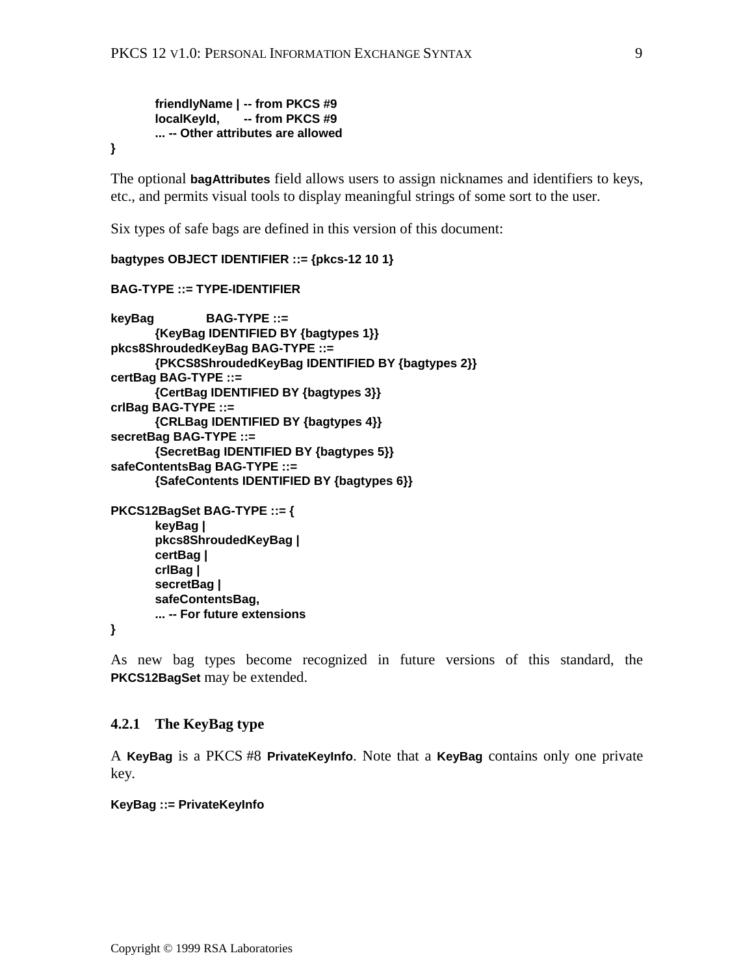**friendlyName | -- from PKCS #9 localKeyId, -- from PKCS #9 ... -- Other attributes are allowed**

**}**

The optional **bagAttributes** field allows users to assign nicknames and identifiers to keys, etc., and permits visual tools to display meaningful strings of some sort to the user.

Six types of safe bags are defined in this version of this document:

```
bagtypes OBJECT IDENTIFIER ::= {pkcs-12 10 1}
BAG-TYPE ::= TYPE-IDENTIFIER
keyBag BAG-TYPE ::=
      {KeyBag IDENTIFIED BY {bagtypes 1}}
pkcs8ShroudedKeyBag BAG-TYPE ::=
      {PKCS8ShroudedKeyBag IDENTIFIED BY {bagtypes 2}}
certBag BAG-TYPE ::=
      {CertBag IDENTIFIED BY {bagtypes 3}}
crlBag BAG-TYPE ::=
       {CRLBag IDENTIFIED BY {bagtypes 4}}
secretBag BAG-TYPE ::=
      {SecretBag IDENTIFIED BY {bagtypes 5}}
safeContentsBag BAG-TYPE ::=
      {SafeContents IDENTIFIED BY {bagtypes 6}}
PKCS12BagSet BAG-TYPE ::= {
      keyBag |
      pkcs8ShroudedKeyBag |
      certBag |
      crlBag |
      secretBag |
      safeContentsBag,
      ... -- For future extensions
```
**}**

As new bag types become recognized in future versions of this standard, the **PKCS12BagSet** may be extended.

### **4.2.1 The KeyBag type**

A **KeyBag** is a PKCS #8 **PrivateKeyInfo**. Note that a **KeyBag** contains only one private key.

**KeyBag ::= PrivateKeyInfo**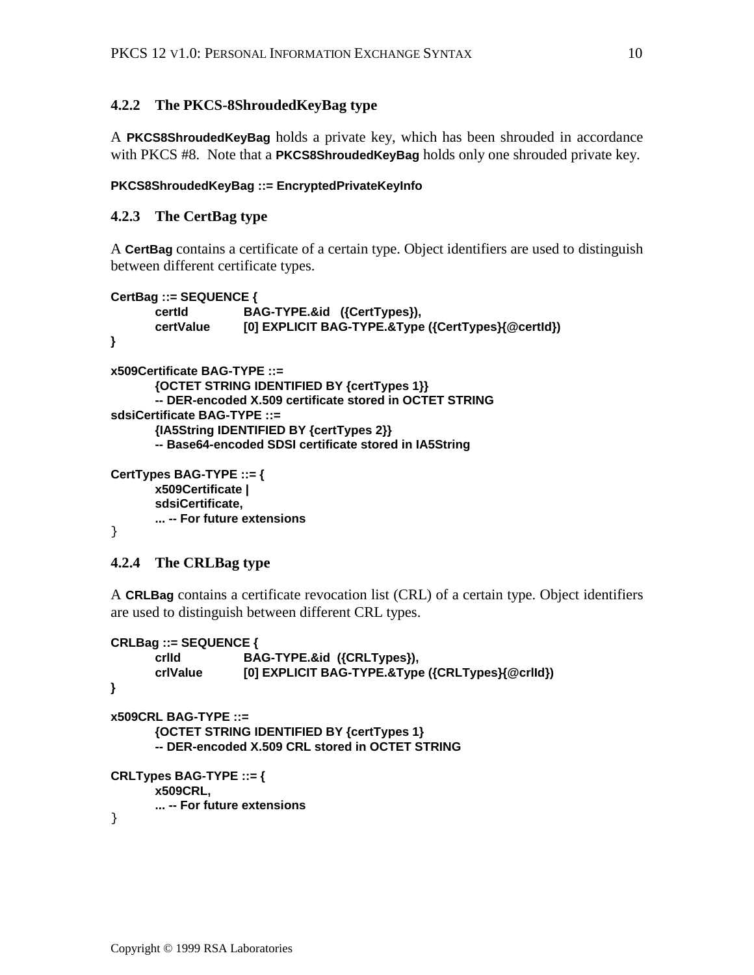## **4.2.2 The PKCS-8ShroudedKeyBag type**

A **PKCS8ShroudedKeyBag** holds a private key, which has been shrouded in accordance with PKCS #8. Note that a **PKCS8ShroudedKeyBag** holds only one shrouded private key.

#### **PKCS8ShroudedKeyBag ::= EncryptedPrivateKeyInfo**

### **4.2.3 The CertBag type**

A **CertBag** contains a certificate of a certain type. Object identifiers are used to distinguish between different certificate types.

```
CertBag ::= SEQUENCE {
       certId BAG-TYPE.&id ({CertTypes}),
        certValue [0] EXPLICIT BAG-TYPE.&Type ({CertTypes}{@certId})
}
x509Certificate BAG-TYPE ::=
       {OCTET STRING IDENTIFIED BY {certTypes 1}}
       -- DER-encoded X.509 certificate stored in OCTET STRING
sdsiCertificate BAG-TYPE ::=
       {IA5String IDENTIFIED BY {certTypes 2}}
       -- Base64-encoded SDSI certificate stored in IA5String
CertTypes BAG-TYPE ::= {
       x509Certificate |
       sdsiCertificate,
       ... -- For future extensions
```

```
}
```
### **4.2.4 The CRLBag type**

A **CRLBag** contains a certificate revocation list (CRL) of a certain type. Object identifiers are used to distinguish between different CRL types.

```
CRLBag ::= SEQUENCE {
      crlId BAG-TYPE.&id ({CRLTypes}),
       crlValue [0] EXPLICIT BAG-TYPE.&Type ({CRLTypes}{@crlId})
}
x509CRL BAG-TYPE ::=
      {OCTET STRING IDENTIFIED BY {certTypes 1}
      -- DER-encoded X.509 CRL stored in OCTET STRING
CRLTypes BAG-TYPE ::= {
      x509CRL,
      ... -- For future extensions
}
```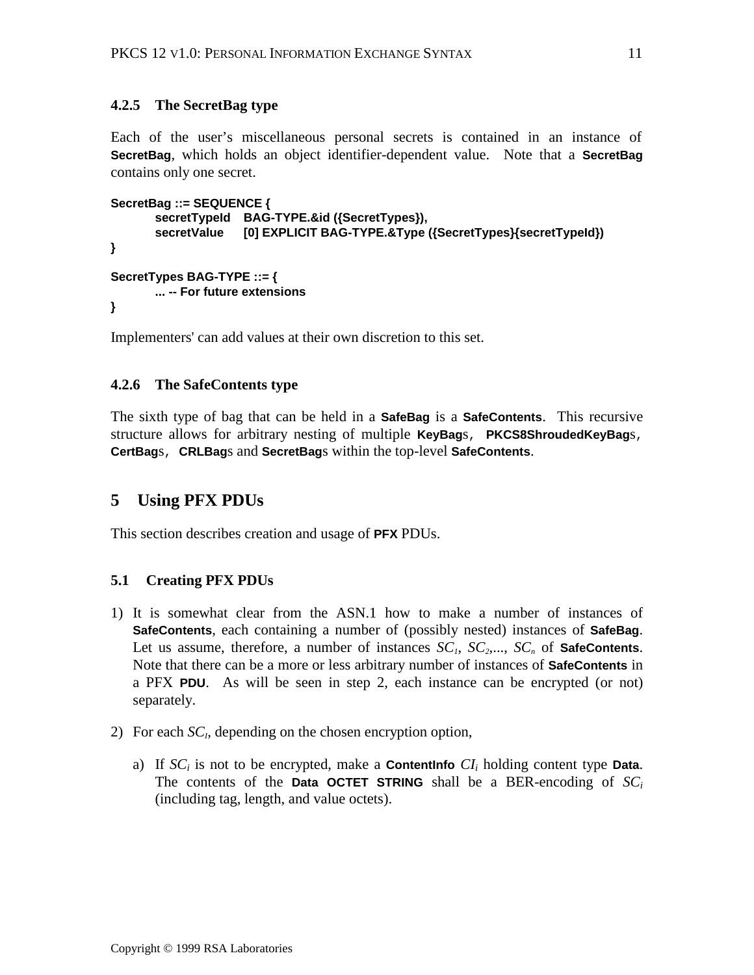# **4.2.5 The SecretBag type**

Each of the user's miscellaneous personal secrets is contained in an instance of **SecretBag**, which holds an object identifier-dependent value. Note that a **SecretBag** contains only one secret.

```
SecretBag ::= SEQUENCE {
        secretTypeId BAG-TYPE.&id ({SecretTypes}),
        secretValue [0] EXPLICIT BAG-TYPE.&Type ({SecretTypes}{secretTypeId})
}
SecretTypes BAG-TYPE ::= {
       ... -- For future extensions
}
```
Implementers' can add values at their own discretion to this set.

### **4.2.6 The SafeContents type**

The sixth type of bag that can be held in a **SafeBag** is a **SafeContents**. This recursive structure allows for arbitrary nesting of multiple **KeyBag**s, **PKCS8ShroudedKeyBag**s, **CertBag**s, **CRLBag**s and **SecretBag**s within the top-level **SafeContents**.

# **5 Using PFX PDUs**

This section describes creation and usage of **PFX** PDUs.

### **5.1 Creating PFX PDUs**

- 1) It is somewhat clear from the ASN.1 how to make a number of instances of **SafeContents**, each containing a number of (possibly nested) instances of **SafeBag**. Let us assume, therefore, a number of instances  $SC_1$ ,  $SC_2$ ,...,  $SC_n$  of **SafeContents**. Note that there can be a more or less arbitrary number of instances of **SafeContents** in a PFX **PDU**. As will be seen in step 2, each instance can be encrypted (or not) separately.
- 2) For each  $SC<sub>i</sub>$ , depending on the chosen encryption option,
	- a) If  $SC_i$  is not to be encrypted, make a **Contentinfo**  $CI_i$  holding content type **Data**. The contents of the **Data OCTET STRING** shall be a BER-encoding of  $SC_i$ (including tag, length, and value octets).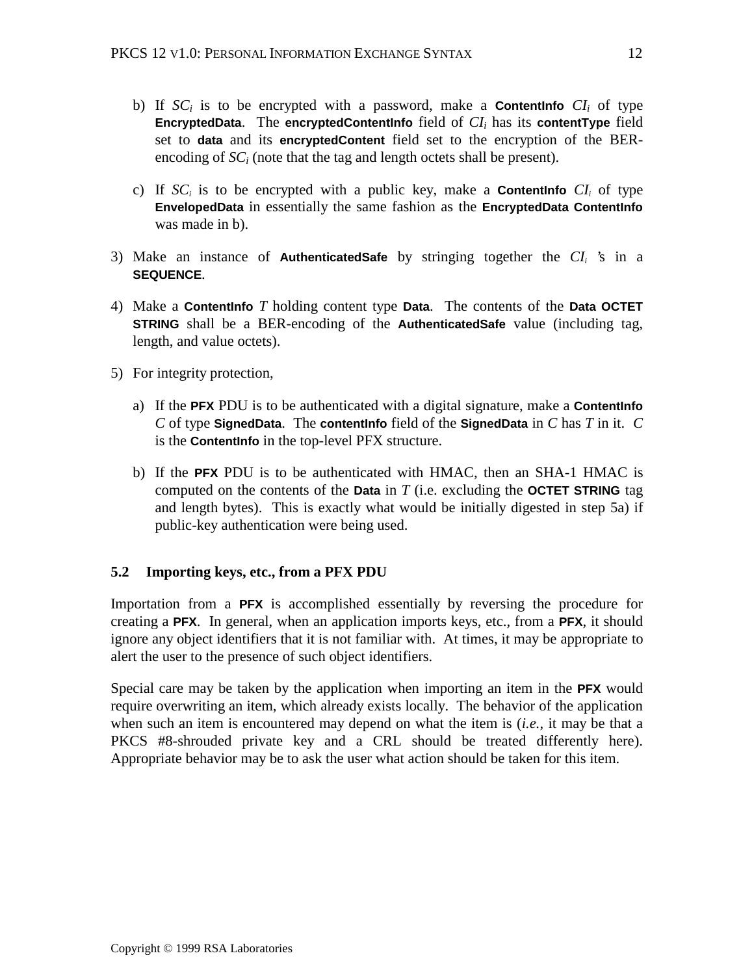- b) If  $SC_i$  is to be encrypted with a password, make a **Contentinfo**  $CI_i$  of type **EncryptedData.** The **encryptedContentInfo** field of  $CI<sub>i</sub>$  has its **contentType** field set to **data** and its **encryptedContent** field set to the encryption of the BERencoding of  $SC_i$  (note that the tag and length octets shall be present).
- c) If  $SC_i$  is to be encrypted with a public key, make a **Contentinitio**  $CI_i$  of type **EnvelopedData** in essentially the same fashion as the **EncryptedData ContentInfo** was made in b).
- 3) Make an instance of **AuthenticatedSafe** by stringing together the *CIi* 's in a **SEQUENCE**.
- 4) Make a **ContentInfo** *T* holding content type **Data**. The contents of the **Data OCTET STRING** shall be a BER-encoding of the **AuthenticatedSafe** value (including tag, length, and value octets).
- 5) For integrity protection,
	- a) If the **PFX** PDU is to be authenticated with a digital signature, make a **ContentInfo** *C* of type **SignedData**. The **contentInfo** field of the **SignedData** in *C* has *T* in it. *C* is the **ContentInfo** in the top-level PFX structure.
	- b) If the **PFX** PDU is to be authenticated with HMAC, then an SHA-1 HMAC is computed on the contents of the **Data** in *T* (i.e. excluding the **OCTET STRING** tag and length bytes). This is exactly what would be initially digested in step 5a) if public-key authentication were being used.

# **5.2 Importing keys, etc., from a PFX PDU**

Importation from a **PFX** is accomplished essentially by reversing the procedure for creating a **PFX**. In general, when an application imports keys, etc., from a **PFX**, it should ignore any object identifiers that it is not familiar with. At times, it may be appropriate to alert the user to the presence of such object identifiers.

Special care may be taken by the application when importing an item in the **PFX** would require overwriting an item, which already exists locally. The behavior of the application when such an item is encountered may depend on what the item is (*i.e.*, it may be that a PKCS #8-shrouded private key and a CRL should be treated differently here). Appropriate behavior may be to ask the user what action should be taken for this item.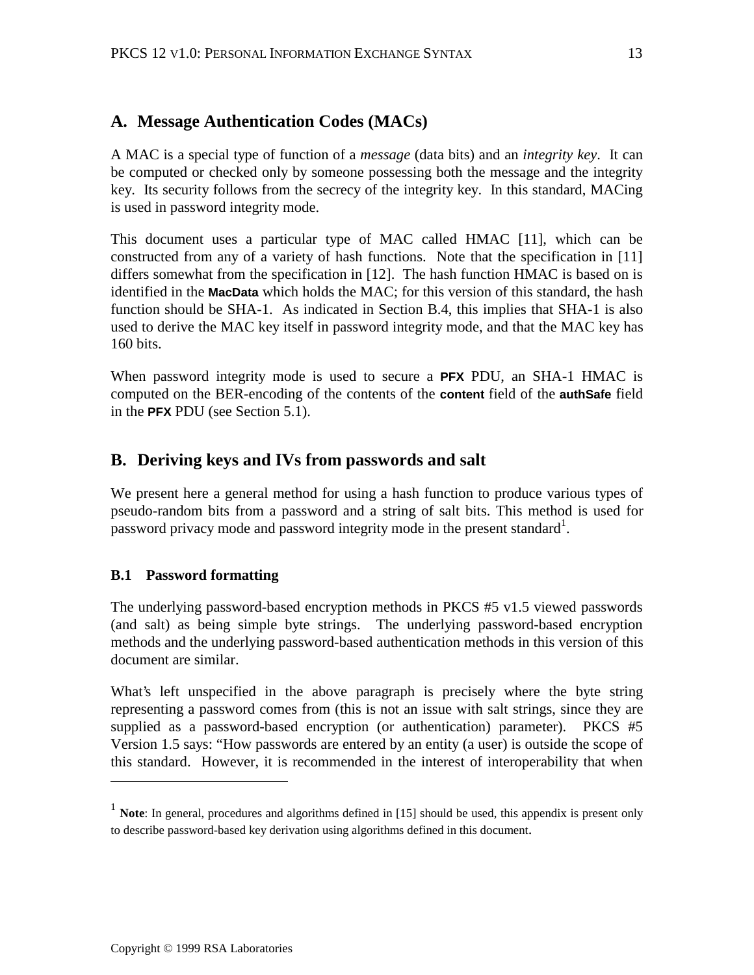# **A. Message Authentication Codes (MACs)**

A MAC is a special type of function of a *message* (data bits) and an *integrity key*. It can be computed or checked only by someone possessing both the message and the integrity key. Its security follows from the secrecy of the integrity key. In this standard, MACing is used in password integrity mode.

This document uses a particular type of MAC called HMAC [11], which can be constructed from any of a variety of hash functions. Note that the specification in [11] differs somewhat from the specification in [12]. The hash function HMAC is based on is identified in the **MacData** which holds the MAC; for this version of this standard, the hash function should be SHA-1. As indicated in Section B.4, this implies that SHA-1 is also used to derive the MAC key itself in password integrity mode, and that the MAC key has 160 bits.

When password integrity mode is used to secure a **PFX** PDU, an SHA-1 HMAC is computed on the BER-encoding of the contents of the **content** field of the **authSafe** field in the **PFX** PDU (see Section 5.1).

# **B. Deriving keys and IVs from passwords and salt**

We present here a general method for using a hash function to produce various types of pseudo-random bits from a password and a string of salt bits. This method is used for password privacy mode and password integrity mode in the present standard<sup>1</sup>.

### **B.1 Password formatting**

<u>.</u>

The underlying password-based encryption methods in PKCS #5 v1.5 viewed passwords (and salt) as being simple byte strings. The underlying password-based encryption methods and the underlying password-based authentication methods in this version of this document are similar.

What's left unspecified in the above paragraph is precisely where the byte string representing a password comes from (this is not an issue with salt strings, since they are supplied as a password-based encryption (or authentication) parameter). PKCS #5 Version 1.5 says: "How passwords are entered by an entity (a user) is outside the scope of this standard. However, it is recommended in the interest of interoperability that when

<sup>&</sup>lt;sup>1</sup> **Note**: In general, procedures and algorithms defined in [15] should be used, this appendix is present only to describe password-based key derivation using algorithms defined in this document.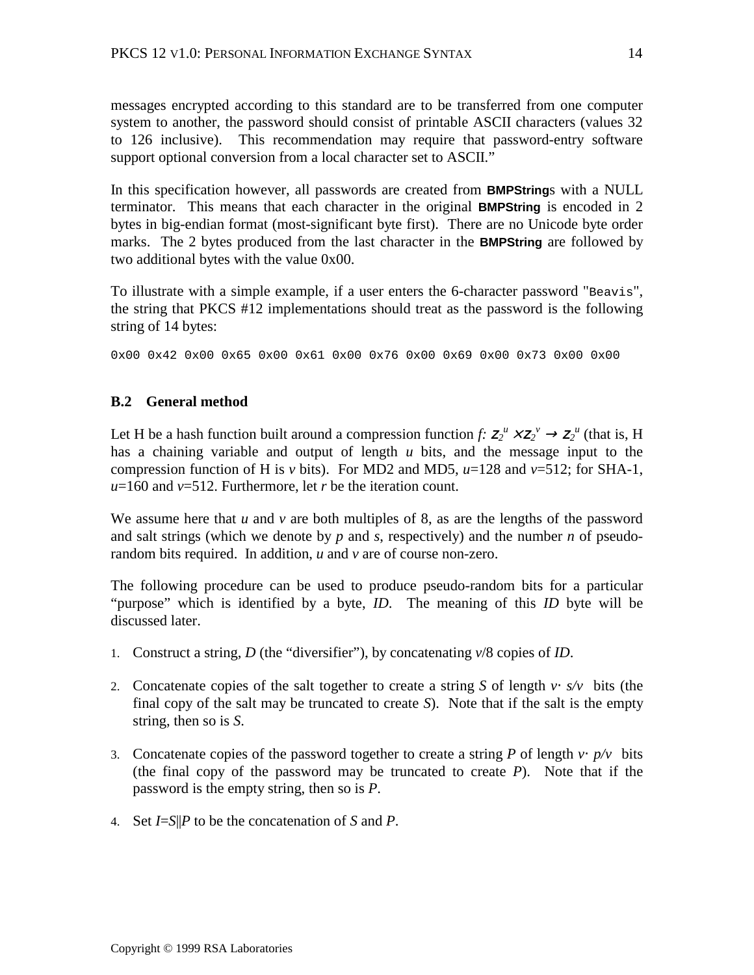messages encrypted according to this standard are to be transferred from one computer system to another, the password should consist of printable ASCII characters (values 32 to 126 inclusive). This recommendation may require that password-entry software support optional conversion from a local character set to ASCII."

In this specification however, all passwords are created from **BMPString**s with a NULL terminator. This means that each character in the original **BMPString** is encoded in 2 bytes in big-endian format (most-significant byte first). There are no Unicode byte order marks. The 2 bytes produced from the last character in the **BMPString** are followed by two additional bytes with the value 0x00.

To illustrate with a simple example, if a user enters the 6-character password "Beavis", the string that PKCS #12 implementations should treat as the password is the following string of 14 bytes:

0x00 0x42 0x00 0x65 0x00 0x61 0x00 0x76 0x00 0x69 0x00 0x73 0x00 0x00

# **B.2 General method**

Let H be a hash function built around a compression function *f*:  $Z_2^u \times Z_2^v \to Z_2^u$  (that is, H has a chaining variable and output of length *u* bits, and the message input to the compression function of H is *v* bits). For MD2 and MD5,  $u=128$  and  $v=512$ ; for SHA-1, *u*=160 and *v*=512. Furthermore, let *r* be the iteration count.

We assume here that *u* and *v* are both multiples of 8, as are the lengths of the password and salt strings (which we denote by *p* and *s*, respectively) and the number *n* of pseudorandom bits required. In addition, *u* and *v* are of course non-zero.

The following procedure can be used to produce pseudo-random bits for a particular "purpose" which is identified by a byte, *ID*. The meaning of this *ID* byte will be discussed later.

- 1. Construct a string, *D* (the "diversifier"), by concatenating *v*/8 copies of *ID*.
- 2. Concatenate copies of the salt together to create a string *S* of length  $v \cdot | s/v |$  bits (the final copy of the salt may be truncated to create *S*). Note that if the salt is the empty string, then so is *S*.
- 3. Concatenate copies of the password together to create a string *P* of length  $v \cdot | p / v |$  bits (the final copy of the password may be truncated to create *P*). Note that if the password is the empty string, then so is *P*.
- 4. Set *I*=*S*||*P* to be the concatenation of *S* and *P*.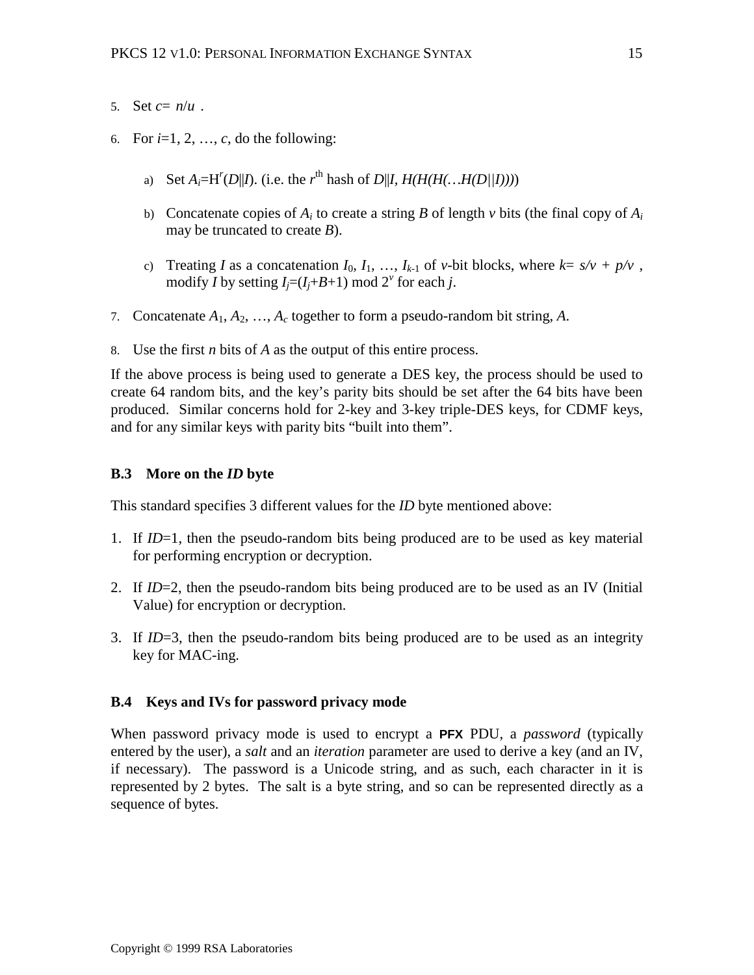- 5. Set  $c = \lfloor n/u \rfloor$ .
- 6. For  $i=1, 2, ..., c$ , do the following:
	- a) Set  $A_i = H^r(D||I)$ . (i.e. the  $r^{\text{th}}$  hash of  $D||I, H(H(H(..., H(D||I))))$
	- b) Concatenate copies of  $A_i$  to create a string  $B$  of length  $\nu$  bits (the final copy of  $A_i$ may be truncated to create *B*).
	- c) Treating *I* as a concatenation  $I_0, I_1, \ldots, I_{k-1}$  of *v*-bit blocks, where  $k = \sqrt{\frac{s}{\sqrt{k}}}\sqrt{\frac{1}{n}}\sqrt{v}$ , modify *I* by setting  $I_j=(I_j+B+1) \text{ mod } 2^{\nu}$  for each *j*.
- 7. Concatenate *A*1, *A*2, …, *Ac* together to form a pseudo-random bit string, *A*.
- 8. Use the first *n* bits of *A* as the output of this entire process.

If the above process is being used to generate a DES key, the process should be used to create 64 random bits, and the key's parity bits should be set after the 64 bits have been produced. Similar concerns hold for 2-key and 3-key triple-DES keys, for CDMF keys, and for any similar keys with parity bits "built into them".

#### **B.3 More on the** *ID* **byte**

This standard specifies 3 different values for the *ID* byte mentioned above:

- 1. If *ID*=1, then the pseudo-random bits being produced are to be used as key material for performing encryption or decryption.
- 2. If *ID*=2, then the pseudo-random bits being produced are to be used as an IV (Initial Value) for encryption or decryption.
- 3. If *ID*=3, then the pseudo-random bits being produced are to be used as an integrity key for MAC-ing.

#### **B.4 Keys and IVs for password privacy mode**

When password privacy mode is used to encrypt a **PFX** PDU, a *password* (typically entered by the user), a *salt* and an *iteration* parameter are used to derive a key (and an IV, if necessary). The password is a Unicode string, and as such, each character in it is represented by 2 bytes. The salt is a byte string, and so can be represented directly as a sequence of bytes.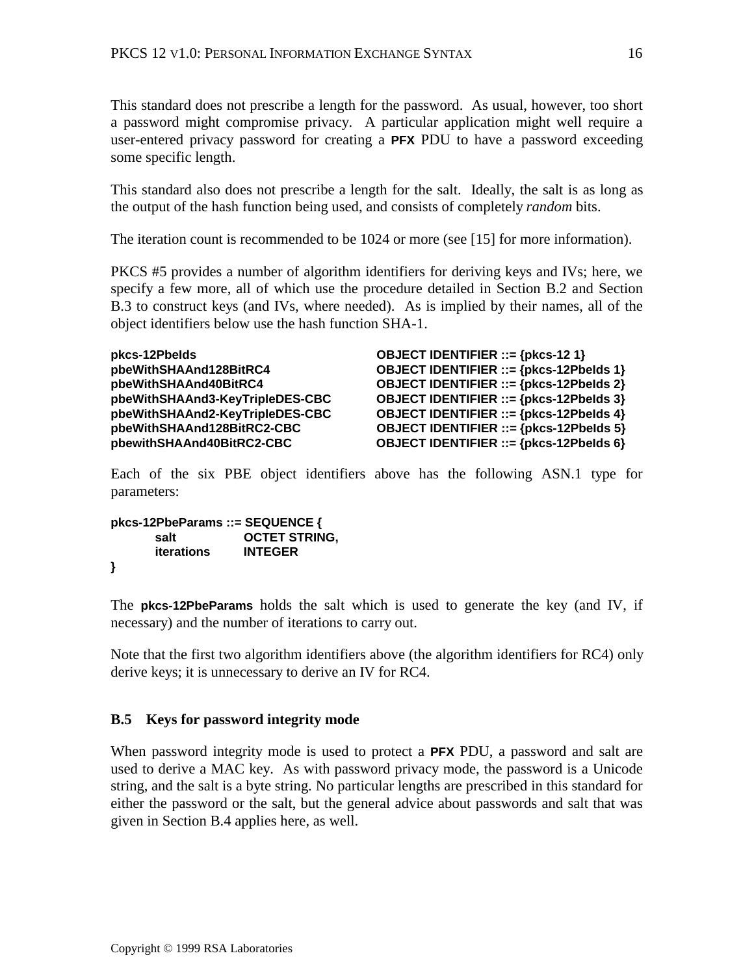This standard does not prescribe a length for the password. As usual, however, too short a password might compromise privacy. A particular application might well require a user-entered privacy password for creating a **PFX** PDU to have a password exceeding some specific length.

This standard also does not prescribe a length for the salt. Ideally, the salt is as long as the output of the hash function being used, and consists of completely *random* bits.

The iteration count is recommended to be 1024 or more (see [15] for more information).

PKCS #5 provides a number of algorithm identifiers for deriving keys and IVs; here, we specify a few more, all of which use the procedure detailed in Section B.2 and Section B.3 to construct keys (and IVs, where needed). As is implied by their names, all of the object identifiers below use the hash function SHA-1.

**pkcs-12PbeIds OBJECT IDENTIFIER ::= {pkcs-12 1}**

**pbeWithSHAAnd128BitRC4 OBJECT IDENTIFIER ::= {pkcs-12PbeIds 1} pbeWithSHAAnd40BitRC4 OBJECT IDENTIFIER ::= {pkcs-12PbeIds 2} pbeWithSHAAnd3-KeyTripleDES-CBC OBJECT IDENTIFIER ::= {pkcs-12PbeIds 3} pbeWithSHAAnd2-KeyTripleDES-CBC OBJECT IDENTIFIER ::= {pkcs-12PbeIds 4} pbeWithSHAAnd128BitRC2-CBC OBJECT IDENTIFIER ::= {pkcs-12PbeIds 5} pbewithSHAAnd40BitRC2-CBC OBJECT IDENTIFIER ::= {pkcs-12PbeIds 6}**

Each of the six PBE object identifiers above has the following ASN.1 type for parameters:

```
pkcs-12PbeParams ::= SEQUENCE {
     salt OCTET STRING,
     iterations INTEGER
}
```
The **pkcs-12PbeParams** holds the salt which is used to generate the key (and IV, if necessary) and the number of iterations to carry out.

Note that the first two algorithm identifiers above (the algorithm identifiers for RC4) only derive keys; it is unnecessary to derive an IV for RC4.

# **B.5 Keys for password integrity mode**

When password integrity mode is used to protect a **PFX** PDU, a password and salt are used to derive a MAC key. As with password privacy mode, the password is a Unicode string, and the salt is a byte string. No particular lengths are prescribed in this standard for either the password or the salt, but the general advice about passwords and salt that was given in Section B.4 applies here, as well.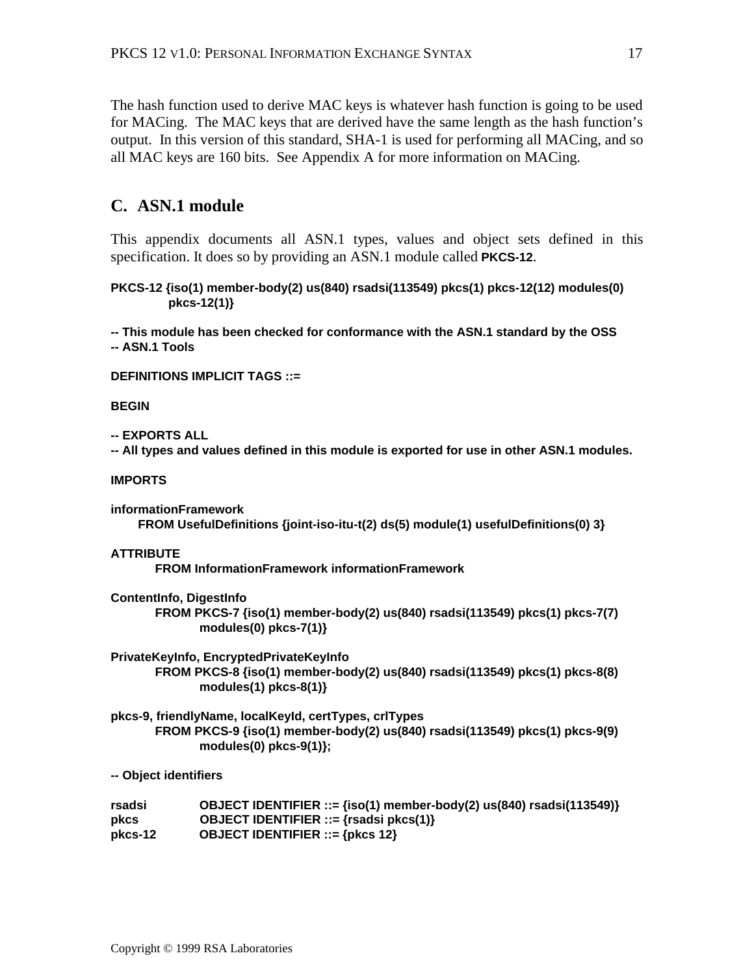The hash function used to derive MAC keys is whatever hash function is going to be used for MACing. The MAC keys that are derived have the same length as the hash function's output. In this version of this standard, SHA-1 is used for performing all MACing, and so all MAC keys are 160 bits. See Appendix A for more information on MACing.

# **C. ASN.1 module**

This appendix documents all ASN.1 types, values and object sets defined in this specification. It does so by providing an ASN.1 module called **PKCS-12**.

**PKCS-12 {iso(1) member-body(2) us(840) rsadsi(113549) pkcs(1) pkcs-12(12) modules(0) pkcs-12(1)}**

**-- This module has been checked for conformance with the ASN.1 standard by the OSS -- ASN.1 Tools**

**DEFINITIONS IMPLICIT TAGS ::=**

#### **BEGIN**

**-- EXPORTS ALL**

**-- All types and values defined in this module is exported for use in other ASN.1 modules.**

#### **IMPORTS**

```
informationFramework
     FROM UsefulDefinitions {joint-iso-itu-t(2) ds(5) module(1) usefulDefinitions(0) 3}
```
#### **ATTRIBUTE**

**FROM InformationFramework informationFramework**

**ContentInfo, DigestInfo FROM PKCS-7 {iso(1) member-body(2) us(840) rsadsi(113549) pkcs(1) pkcs-7(7) modules(0) pkcs-7(1)}**

**PrivateKeyInfo, EncryptedPrivateKeyInfo FROM PKCS-8 {iso(1) member-body(2) us(840) rsadsi(113549) pkcs(1) pkcs-8(8) modules(1) pkcs-8(1)}**

**pkcs-9, friendlyName, localKeyId, certTypes, crlTypes FROM PKCS-9 {iso(1) member-body(2) us(840) rsadsi(113549) pkcs(1) pkcs-9(9) modules(0) pkcs-9(1)};**

**-- Object identifiers**

| rsadsi  | OBJECT IDENTIFIER ::= $\{iso(1)$ member-body(2) us(840) rsadsi(113549)} |
|---------|-------------------------------------------------------------------------|
| pkcs    | <b>OBJECT IDENTIFIER</b> ::= $\{rsadsi pkcs(1)\}$                       |
| pkcs-12 | <b>OBJECT IDENTIFIER</b> ::= $\{ptccs 12\}$                             |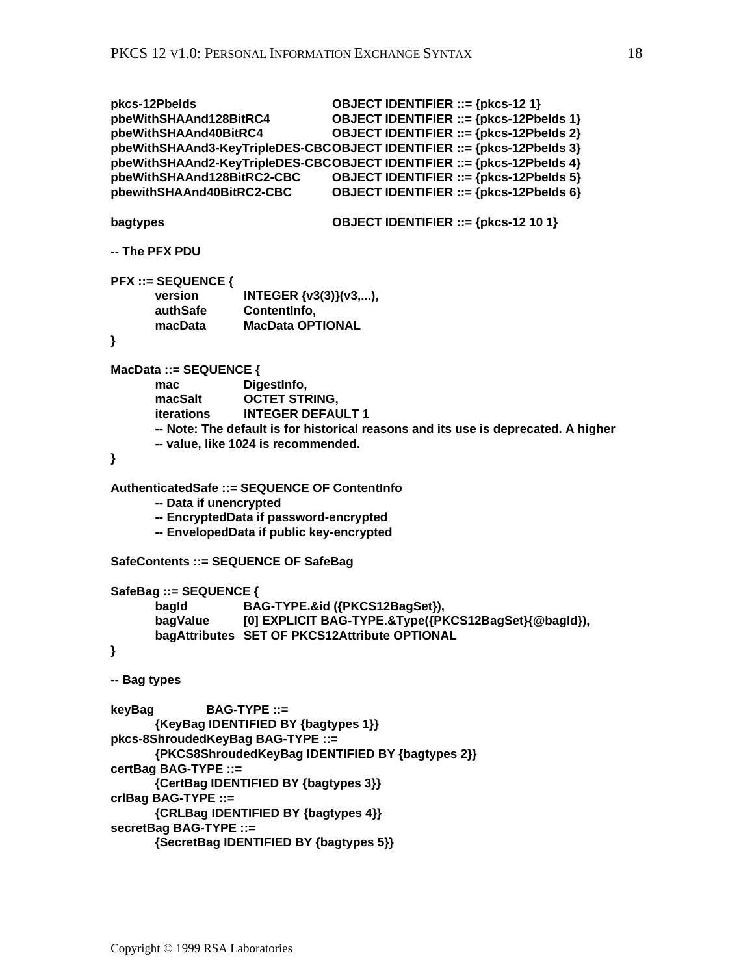```
pkcs-12PbeIds OBJECT IDENTIFIER ::= {pkcs-12 1}
pbeWithSHAAnd128BitRC4 OBJECT IDENTIFIER ::= {pkcs-12PbeIds 1}
pbeWithSHAAnd40BitRC4 OBJECT IDENTIFIER ::= {pkcs-12PbeIds 2}
pbeWithSHAAnd3-KeyTripleDES-CBCOBJECT IDENTIFIER ::= {pkcs-12PbeIds 3}
pbeWithSHAAnd2-KeyTripleDES-CBCOBJECT IDENTIFIER ::= {pkcs-12PbeIds 4}
pbeWithSHAAnd128BitRC2-CBC OBJECT IDENTIFIER ::= {pkcs-12PbeIds 5}
pbewithSHAAnd40BitRC2-CBC OBJECT IDENTIFIER ::= {pkcs-12PbeIds 6}
bagtypes OBJECT IDENTIFIER ::= {pkcs-12 10 1}
-- The PFX PDU
PFX ::= SEQUENCE {
      version INTEGER {v3(3)}(v3,...),
       authSafe ContentInfo,
                   MacData OPTIONAL
}
MacData ::= SEQUENCE {
       mac DigestInfo,
      macSalt OCTET STRING,
      iterations INTEGER DEFAULT 1
      -- Note: The default is for historical reasons and its use is deprecated. A higher
      -- value, like 1024 is recommended.
}
AuthenticatedSafe ::= SEQUENCE OF ContentInfo
      -- Data if unencrypted
      -- EncryptedData if password-encrypted
      -- EnvelopedData if public key-encrypted
SafeContents ::= SEQUENCE OF SafeBag
SafeBag ::= SEQUENCE {
       bagId BAG-TYPE.&id ({PKCS12BagSet}),
       bagValue [0] EXPLICIT BAG-TYPE.&Type({PKCS12BagSet}{@bagId}),
       bagAttributes SET OF PKCS12Attribute OPTIONAL
}
-- Bag types
keyBag BAG-TYPE ::=
      {KeyBag IDENTIFIED BY {bagtypes 1}}
pkcs-8ShroudedKeyBag BAG-TYPE ::=
      {PKCS8ShroudedKeyBag IDENTIFIED BY {bagtypes 2}}
certBag BAG-TYPE ::=
      {CertBag IDENTIFIED BY {bagtypes 3}}
crlBag BAG-TYPE ::=
      {CRLBag IDENTIFIED BY {bagtypes 4}}
secretBag BAG-TYPE ::=
      {SecretBag IDENTIFIED BY {bagtypes 5}}
```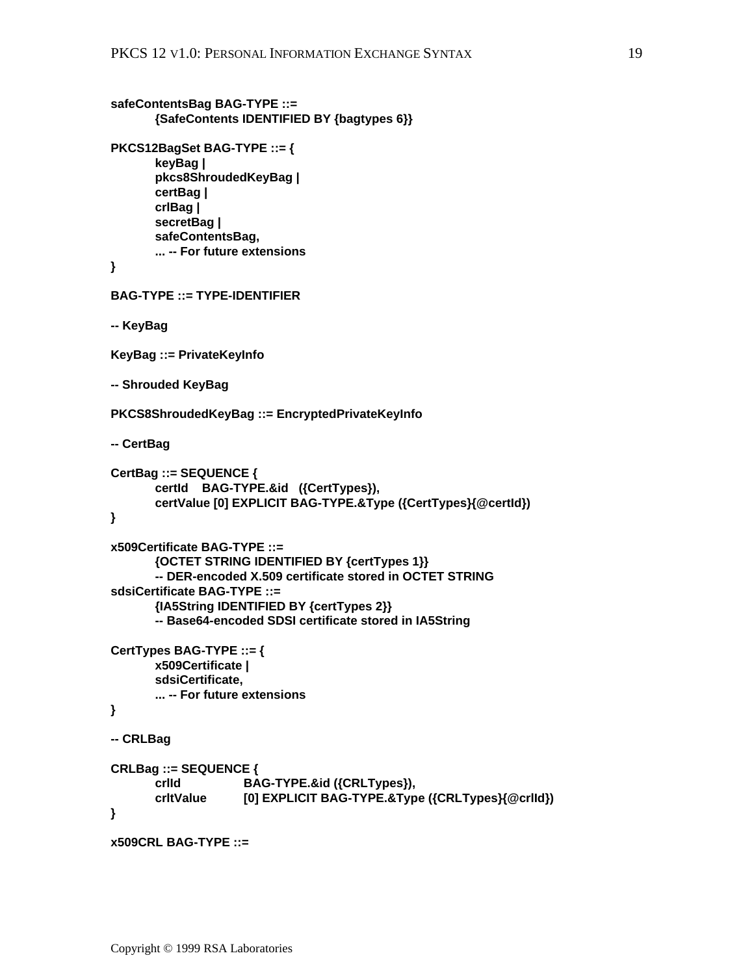```
safeContentsBag BAG-TYPE ::=
       {SafeContents IDENTIFIED BY {bagtypes 6}}
PKCS12BagSet BAG-TYPE ::= {
       keyBag |
       pkcs8ShroudedKeyBag |
       certBag |
       crlBag |
       secretBag |
       safeContentsBag,
       ... -- For future extensions
}
BAG-TYPE ::= TYPE-IDENTIFIER
-- KeyBag
KeyBag ::= PrivateKeyInfo
-- Shrouded KeyBag
PKCS8ShroudedKeyBag ::= EncryptedPrivateKeyInfo
-- CertBag
CertBag ::= SEQUENCE {
       certId BAG-TYPE.&id ({CertTypes}),
       certValue [0] EXPLICIT BAG-TYPE.&Type ({CertTypes}{@certId})
}
x509Certificate BAG-TYPE ::=
       {OCTET STRING IDENTIFIED BY {certTypes 1}}
       -- DER-encoded X.509 certificate stored in OCTET STRING
sdsiCertificate BAG-TYPE ::=
       {IA5String IDENTIFIED BY {certTypes 2}}
       -- Base64-encoded SDSI certificate stored in IA5String
CertTypes BAG-TYPE ::= {
      x509Certificate |
       sdsiCertificate,
       ... -- For future extensions
}
-- CRLBag
CRLBag ::= SEQUENCE {
       crlId BAG-TYPE.&id ({CRLTypes}),
                    [0] EXPLICIT BAG-TYPE.&Type ({CRLTypes}{@crlId})
}
x509CRL BAG-TYPE ::=
```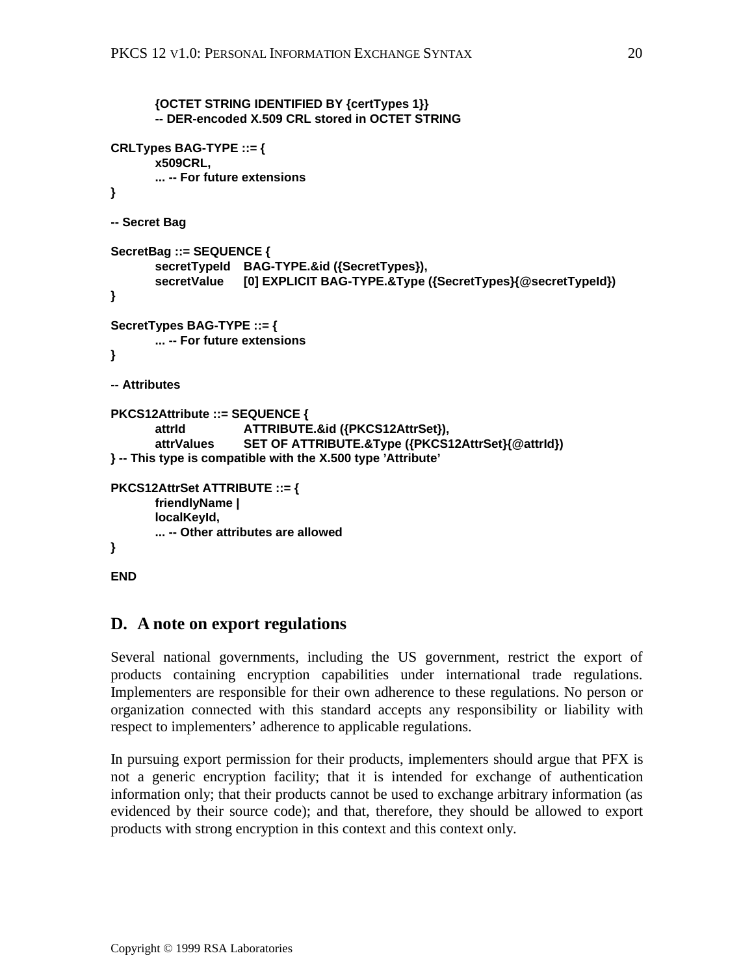```
{OCTET STRING IDENTIFIED BY {certTypes 1}}
      -- DER-encoded X.509 CRL stored in OCTET STRING
CRLTypes BAG-TYPE ::= {
      x509CRL,
      ... -- For future extensions
}
-- Secret Bag
SecretBag ::= SEQUENCE {
       secretTypeId BAG-TYPE.&id ({SecretTypes}),
      secretValue [0] EXPLICIT BAG-TYPE.&Type ({SecretTypes}{@secretTypeId})
}
SecretTypes BAG-TYPE ::= {
      ... -- For future extensions
}
-- Attributes
PKCS12Attribute ::= SEQUENCE {
      attrId ATTRIBUTE.&id ({PKCS12AttrSet}),
      attrValues SET OF ATTRIBUTE.&Type ({PKCS12AttrSet}{@attrId})
} -- This type is compatible with the X.500 type 'Attribute'
PKCS12AttrSet ATTRIBUTE ::= {
      friendlyName |
      localKeyId,
      ... -- Other attributes are allowed
}
END
```
# **D. A note on export regulations**

Several national governments, including the US government, restrict the export of products containing encryption capabilities under international trade regulations. Implementers are responsible for their own adherence to these regulations. No person or organization connected with this standard accepts any responsibility or liability with respect to implementers' adherence to applicable regulations.

In pursuing export permission for their products, implementers should argue that PFX is not a generic encryption facility; that it is intended for exchange of authentication information only; that their products cannot be used to exchange arbitrary information (as evidenced by their source code); and that, therefore, they should be allowed to export products with strong encryption in this context and this context only.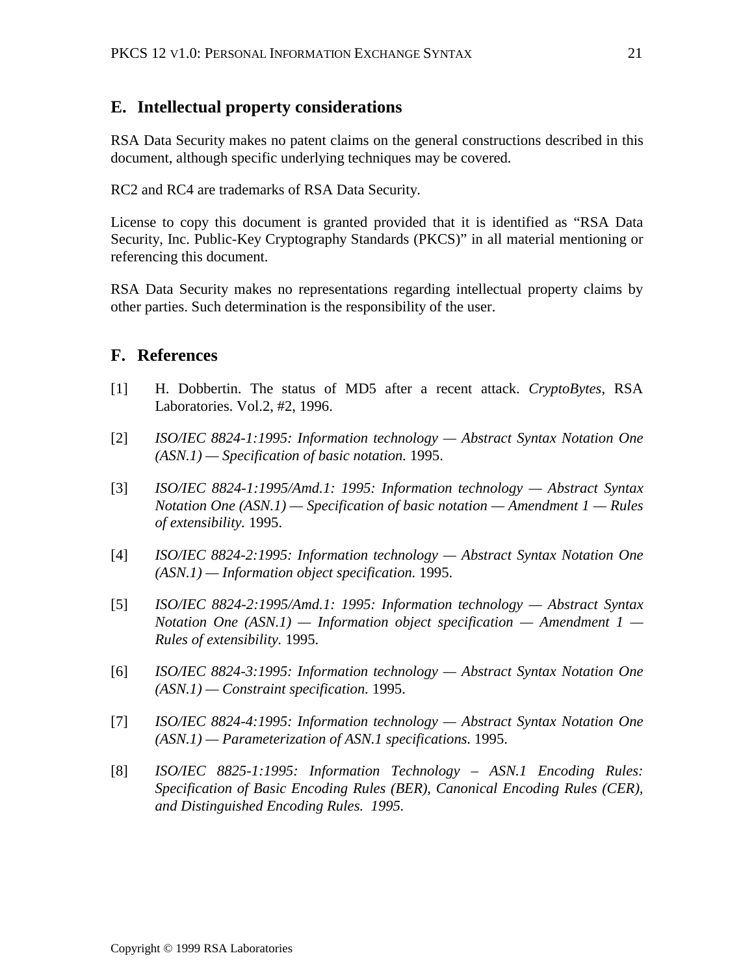# **E. Intellectual property considerations**

RSA Data Security makes no patent claims on the general constructions described in this document, although specific underlying techniques may be covered.

RC2 and RC4 are trademarks of RSA Data Security.

License to copy this document is granted provided that it is identified as "RSA Data Security, Inc. Public-Key Cryptography Standards (PKCS)" in all material mentioning or referencing this document.

RSA Data Security makes no representations regarding intellectual property claims by other parties. Such determination is the responsibility of the user.

# **F. References**

- [1] H. Dobbertin. The status of MD5 after a recent attack. *CryptoBytes*, RSA Laboratories. Vol.2, #2, 1996.
- [2] *ISO/IEC 8824-1:1995: Information technology Abstract Syntax Notation One (ASN.1) — Specification of basic notation.* 1995.
- [3] *ISO/IEC 8824-1:1995/Amd.1: 1995: Information technology Abstract Syntax Notation One (ASN.1) — Specification of basic notation — Amendment 1 — Rules of extensibility.* 1995.
- [4] *ISO/IEC 8824-2:1995: Information technology Abstract Syntax Notation One (ASN.1) — Information object specification.* 1995.
- [5] *ISO/IEC 8824-2:1995/Amd.1: 1995: Information technology Abstract Syntax Notation One (ASN.1) — Information object specification — Amendment 1 — Rules of extensibility.* 1995.
- [6] *ISO/IEC 8824-3:1995: Information technology Abstract Syntax Notation One (ASN.1) — Constraint specification.* 1995.
- [7] *ISO/IEC 8824-4:1995: Information technology Abstract Syntax Notation One (ASN.1) — Parameterization of ASN.1 specifications.* 1995.
- [8] *ISO/IEC 8825-1:1995: Information Technology ASN.1 Encoding Rules: Specification of Basic Encoding Rules (BER), Canonical Encoding Rules (CER), and Distinguished Encoding Rules. 1995.*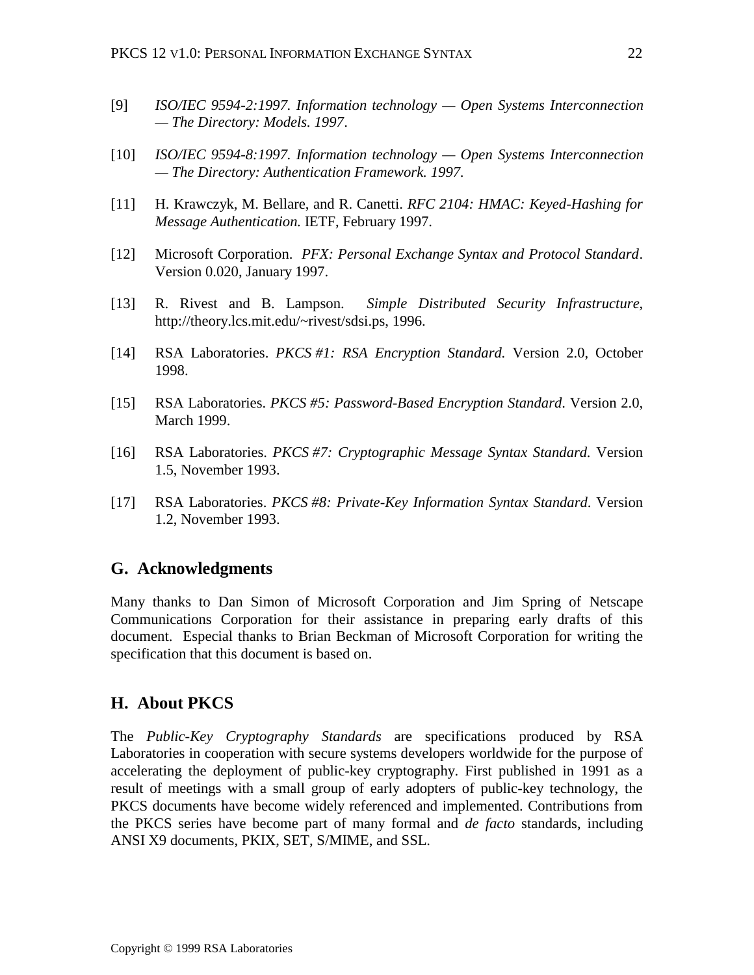- [9] *ISO/IEC 9594-2:1997. Information technology Open Systems Interconnection — The Directory: Models. 1997*.
- [10] *ISO/IEC 9594-8:1997. Information technology Open Systems Interconnection — The Directory: Authentication Framework. 1997*.
- [11] H. Krawczyk, M. Bellare, and R. Canetti. *RFC 2104: HMAC: Keyed-Hashing for Message Authentication.* IETF, February 1997.
- [12] Microsoft Corporation. *PFX: Personal Exchange Syntax and Protocol Standard*. Version 0.020, January 1997.
- [13] R. Rivest and B. Lampson. *Simple Distributed Security Infrastructure*, http://theory.lcs.mit.edu/~rivest/sdsi.ps, 1996.
- [14] RSA Laboratories. *PKCS #1: RSA Encryption Standard.* Version 2.0, October 1998.
- [15] RSA Laboratories. *PKCS #5: Password-Based Encryption Standard*. Version 2.0, March 1999.
- [16] RSA Laboratories. *PKCS #7: Cryptographic Message Syntax Standard.* Version 1.5, November 1993.
- [17] RSA Laboratories. *PKCS #8: Private-Key Information Syntax Standard*. Version 1.2, November 1993.

### **G. Acknowledgments**

Many thanks to Dan Simon of Microsoft Corporation and Jim Spring of Netscape Communications Corporation for their assistance in preparing early drafts of this document. Especial thanks to Brian Beckman of Microsoft Corporation for writing the specification that this document is based on.

#### **H. About PKCS**

The *Public-Key Cryptography Standards* are specifications produced by RSA Laboratories in cooperation with secure systems developers worldwide for the purpose of accelerating the deployment of public-key cryptography. First published in 1991 as a result of meetings with a small group of early adopters of public-key technology, the PKCS documents have become widely referenced and implemented. Contributions from the PKCS series have become part of many formal and *de facto* standards, including ANSI X9 documents, PKIX, SET, S/MIME, and SSL.